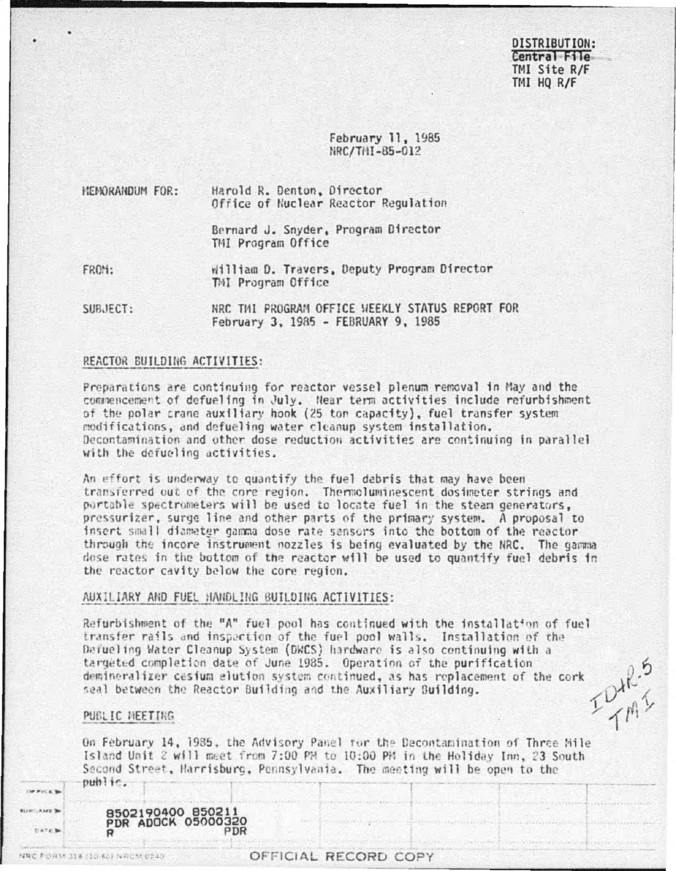### DISTRIBUTION: Central File TMI Site R/F TMI HO R/F

February 11, 1985 NRC/THI-85-012

| <b>HENORANDUM FOR:</b> | Harold R. Denton, Director<br>Office of Nuclear Reactor Regulation |  |  |  |  |
|------------------------|--------------------------------------------------------------------|--|--|--|--|
|                        | Bernard J. Snyder, Program Director<br>TMI Program Office          |  |  |  |  |
| FROM:                  | william D. Travers, Deputy Program Director<br>TMI Program Office  |  |  |  |  |

NRC THI PROGRAM OFFICE WEEKLY STATUS REPORT FOR SUBJECT: February 3, 1985 - FEBRUARY 9, 1985

#### REACTOR BUILDING ACTIVITIES:

Preparations are continuing for reactor vessel plenum removal in May and the commencement of defueling in July. Near term activities include refurbishment of the polar crane auxiliary hook (25 ton capacity), fuel transfer system modifications, and defueling water cleanup system installation. Decontamination and other dose reduction activities are continuing in parallel with the defueling activities.

An effort is underway to quantify the fuel debris that may have been transferred out of the core region. Thermoluminescent dosimeter strings and portable spectrometers will be used to locate fuel in the steam generators. pressurizer, surge line and other parts of the primary system. A proposal to insert small diameter gamma dose rate sensors into the bottom of the reactor through the incore instrument nozzles is being evaluated by the NRC. The gamma dose rates in the bottom of the reactor will be used to quantify fuel debris in the reactor cavity below the core region.

#### AUXILIARY AND FUEL HANDLING BUILDING ACTIVITIES:

Refurbishment of the "A" fuel pool has continued with the installation of fuel transfer rails and inspection of the fuel pool walls. Installation of the Defueling Water Cleanup System (DWCS) hardware is also continuing with a targeted completion date of June 1985. Operation of the purification demineralizer cesium elution system continued, as has replacement of the cork DAR." seal between the Reactor Building and the Auxiliary Building.

### PUBLIC MEETING

**CHARGE BLINTLANDE IN** 

**DATE** 

NRC FORM 318 (10 60) NRCM 0240

On February 14, 1985, the Advisory Panel for the Decontamination of Three Mile Island Unit 2 will meet from 7:00 PM to 10:00 PM in the Holiday Inn, 23 South Second Street, Harrisburg, Pennsylvania. The meeting will be open to the public.

8502190400 85021 **PDR ADOCK 05000320** PDR  $\boldsymbol{Q}$ 

### OFFICIAL RECORD COPY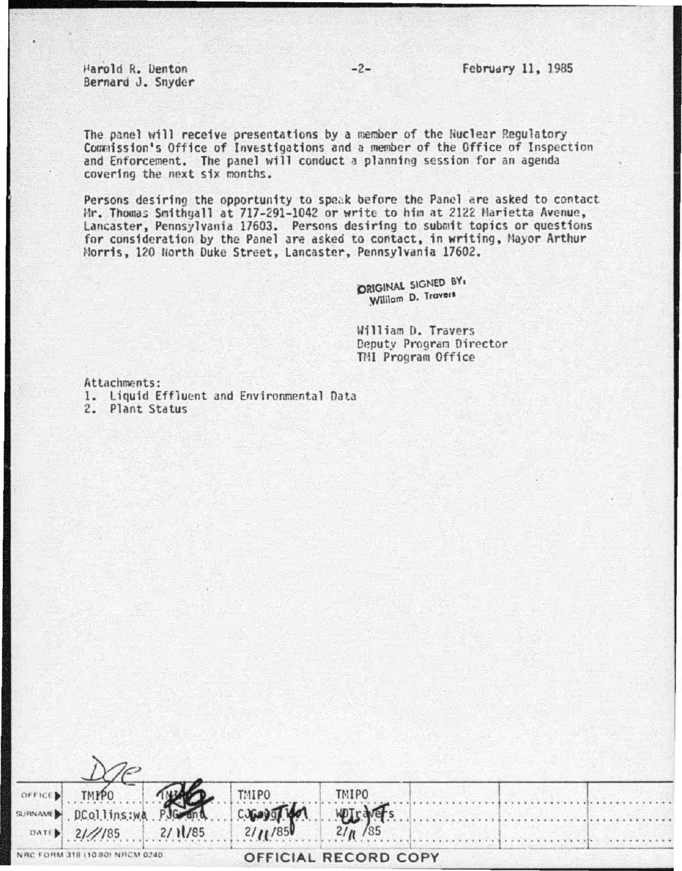•'arold R. Uenton Bernard J. Snyder

The panel will receive presentations by a member of the Nuclear Regulatory Commission's Office of Investigations and a member of the Office of Inspection and Enforcement. The panel will conduct a planning session for an agenda covering the next six months.

Persons desiring the opportunity to speak before the Panel are asked to contact Mr. Thomas Smithyall at 717-291-1042 or write to him at 2122 Marietta Avenue, Lancaster, Pennsylvania 17603. Persons desiring to submit topics or questions for consideration by the Panel are asked to contact, in writing, Mayor Arthur Horris, 120 North Duke Street, Lancaster, Pennsylvania 17602.

> ORIGINAL SIGNED BY, William D. Travers

William D. Travers Deputy Program Director Till Program Office

Attachments:

1. Liquid Effluent and Environmental Data

2. Plant Status

| OFFICE                          | <b>TMPO</b>          |  | <b>TMIPO</b> | <b>TMIPO</b>         |  |  |
|---------------------------------|----------------------|--|--------------|----------------------|--|--|
|                                 | SURNAME DCollins: WA |  | 2/11/85      | <b>WAT-</b>          |  |  |
|                                 | DATE 2///85 2/11/85  |  |              | 21/1/85              |  |  |
| NRC FORM 318 (10 80) NRCM 0240. |                      |  |              | OFFICIAL RECORD COPY |  |  |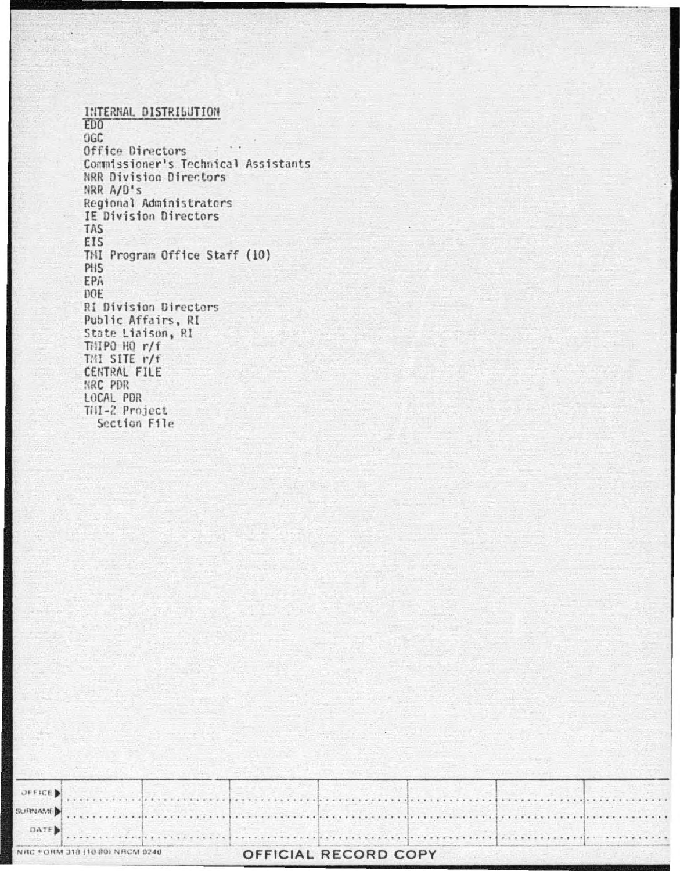INTERNAL DISTRIBUTION EDO<sup>1</sup> OGC Office Directors Commissioner's Technical Assistants NRR Division Directors NRR A/D's Regional Administrators IE Division Directors TAS EIS TMI Program Office Staff (10) PHS EPA DOE RI Division Directors Public Affairs, RI State Liaison, R1 THIPO HQ r/f TMI SITE r/f **CENTRAL FILE** NRC PDR LOCAL PDR Till-2 Project Section File

|            | NAC FORM 318 (10.80) NACM 0240 |  | OFFICIAL RECORD COPY |  |                                                                                                                       |
|------------|--------------------------------|--|----------------------|--|-----------------------------------------------------------------------------------------------------------------------|
| DATE       |                                |  |                      |  |                                                                                                                       |
|            |                                |  |                      |  | SURNAME <b>And the community of the community of the community of the community of the community of the community</b> |
| $OFFICE$ . |                                |  |                      |  |                                                                                                                       |
|            |                                |  |                      |  |                                                                                                                       |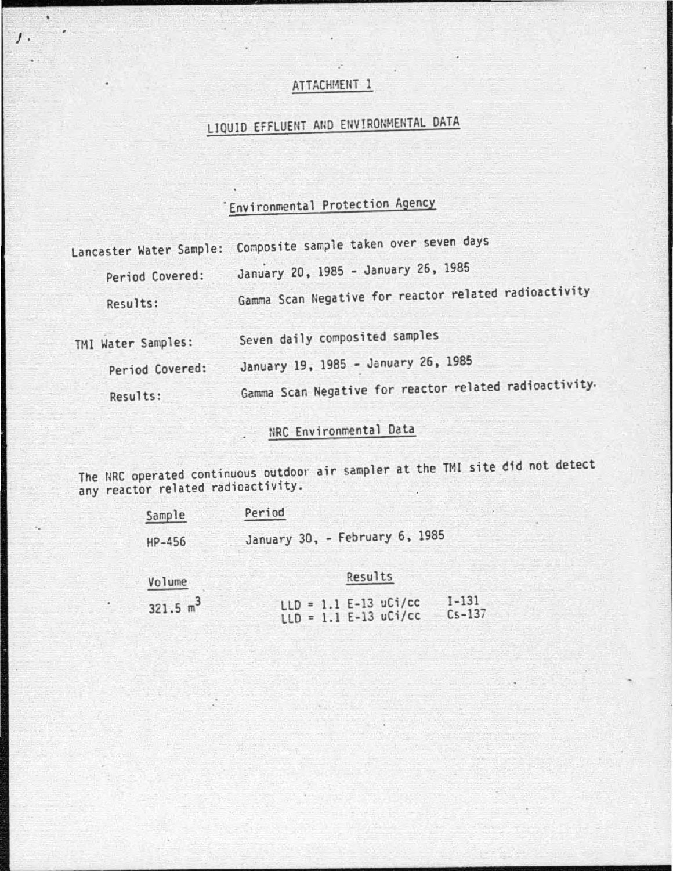### .· ATTACHMENT 1

# LIQUID EFFLUENT AND ENVIRONMENTAL DATA

# "Environmental Protection Agency

| Lancaster Water Sample: | Composite sample taken over seven days                 |
|-------------------------|--------------------------------------------------------|
| Period Covered:         | January 20, 1985 - January 26, 1985                    |
| Results:                | Gamma Scan Negative for reactor related radioactivity  |
| TMI Water Samples:      | Seven daily composited samples                         |
| Period Covered:         | January 19, 1985 - January 26, 1985                    |
| Results:                | Gamma Scan Negative for reactor related radioactivity. |

## NRC Environmental Data

The llRC operated continuous outdoor air sampler at the TMI site did not detect any reactor related radioactivity.

| Sample | Period                         |  |
|--------|--------------------------------|--|
| HP-456 | January 30, - February 6, 1985 |  |
|        |                                |  |

### Volume

*J .* 

 $\lambda$ 

## Results

| 321.5 $m^3$ |  |  | $LLD = 1.1 E-13 uCi/cc$ | $1 - 131$  |
|-------------|--|--|-------------------------|------------|
|             |  |  | $LLD = 1.1 E-13 uCi/cc$ | $Cs - 137$ |